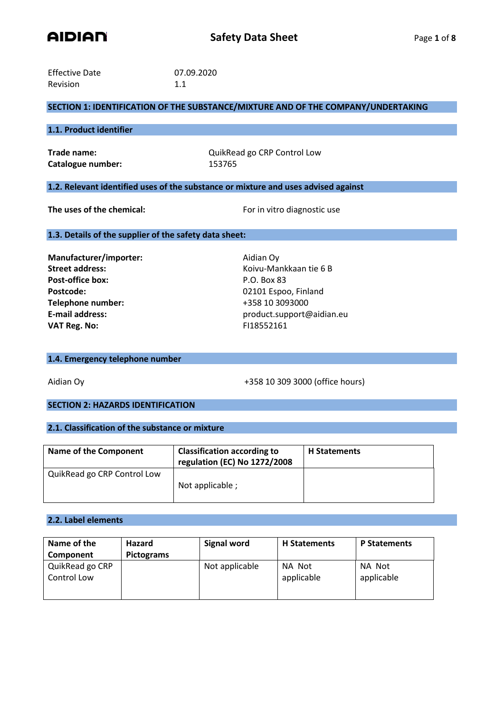

| <b>Effective Date</b> | 07.09.2020 |
|-----------------------|------------|
| <b>Revision</b>       | 1.1        |

## **SECTION 1: IDENTIFICATION OF THE SUBSTANCE/MIXTURE AND OF THE COMPANY/UNDERTAKING**

## **1.1. Product identifier**

Catalogue number: 153765

**Trade name:**  $Qu$ ikRead go CRP Control Low

## **1.2. Relevant identified uses of the substance or mixture and uses advised against**

**The uses of the chemical:** For in vitro diagnostic use

#### **1.3. Details of the supplier of the safety data sheet:**

**Manufacturer/importer:** Aidian Oy **Street address:** Koivu-Mankkaan tie 6 B **Post-office box:** P.O. Box 83 Postcode: 02101 Espoo, Finland **Telephone number:** +358 10 3093000 **VAT Reg. No:** FI18552161

**E-mail address:** product.support@aidian.eu

#### **1.4. Emergency telephone number**

Aidian Oy +358 10 309 3000 (office hours)

# **SECTION 2: HAZARDS IDENTIFICATION**

### **2.1. Classification of the substance or mixture**

| Name of the Component       | <b>Classification according to</b><br>regulation (EC) No 1272/2008 | <b>H</b> Statements |
|-----------------------------|--------------------------------------------------------------------|---------------------|
| QuikRead go CRP Control Low | Not applicable;                                                    |                     |

### **2.2. Label elements**

| Name of the<br>Component       | <b>Hazard</b><br><b>Pictograms</b> | <b>Signal word</b> | <b>H</b> Statements  | <b>P Statements</b>  |
|--------------------------------|------------------------------------|--------------------|----------------------|----------------------|
| QuikRead go CRP<br>Control Low |                                    | Not applicable     | NA Not<br>applicable | NA Not<br>applicable |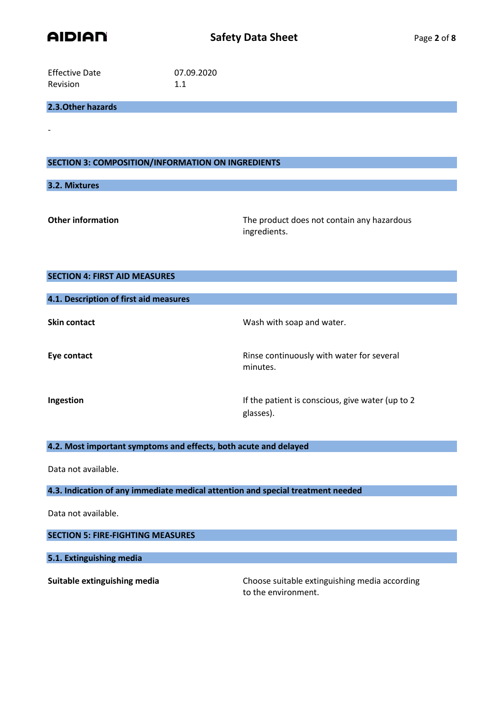

| <b>Effective Date</b> | 07.09.2020 |
|-----------------------|------------|
| <b>Revision</b>       | 1.1        |

## **2.3.Other hazards**

## **SECTION 3: COMPOSITION/INFORMATION ON INGREDIENTS**

### **3.2. Mixtures**

-

**Other information** The product does not contain any hazardous ingredients.

| <b>SECTION 4: FIRST AID MEASURES</b>                             |                                                                |  |  |
|------------------------------------------------------------------|----------------------------------------------------------------|--|--|
| 4.1. Description of first aid measures                           |                                                                |  |  |
| <b>Skin contact</b>                                              | Wash with soap and water.                                      |  |  |
| Eye contact                                                      | Rinse continuously with water for several<br>minutes.          |  |  |
| Ingestion                                                        | If the patient is conscious, give water (up to 2)<br>glasses). |  |  |
| 4.2. Most important symptoms and effects, both acute and delayed |                                                                |  |  |

Data not available.

**4.3. Indication of any immediate medical attention and special treatment needed**

Data not available.

**SECTION 5: FIRE-FIGHTING MEASURES**

**5.1. Extinguishing media**

**Suitable extinguishing media** Choose suitable extinguishing media according to the environment.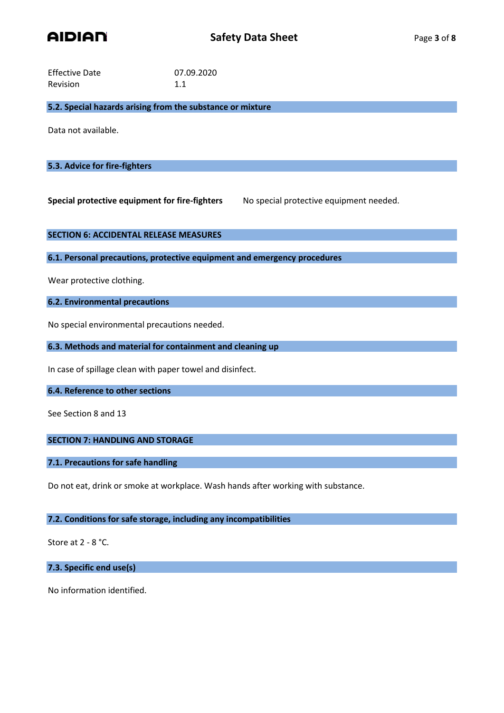

| <b>Effective Date</b> | 07.09.2020 |
|-----------------------|------------|
| Revision              | 1.1        |

**5.2. Special hazards arising from the substance or mixture**

Data not available.

## **5.3. Advice for fire-fighters**

**Special protective equipment for fire-fighters** No special protective equipment needed.

### **SECTION 6: ACCIDENTAL RELEASE MEASURES**

**6.1. Personal precautions, protective equipment and emergency procedures**

Wear protective clothing.

## **6.2. Environmental precautions**

No special environmental precautions needed.

**6.3. Methods and material for containment and cleaning up**

In case of spillage clean with paper towel and disinfect.

#### **6.4. Reference to other sections**

See Section 8 and 13

## **SECTION 7: HANDLING AND STORAGE**

## **7.1. Precautions for safe handling**

Do not eat, drink or smoke at workplace. Wash hands after working with substance.

### **7.2. Conditions for safe storage, including any incompatibilities**

Store at 2 - 8 °C.

**7.3. Specific end use(s)**

No information identified.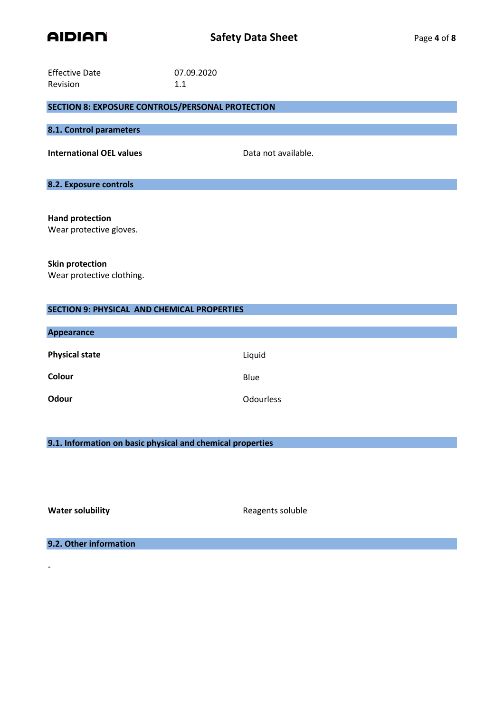

| <b>Effective Date</b>                                   | 07.09.2020          |
|---------------------------------------------------------|---------------------|
| Revision                                                | 1.1                 |
| <b>SECTION 8: EXPOSURE CONTROLS/PERSONAL PROTECTION</b> |                     |
| 8.1. Control parameters                                 |                     |
| <b>International OEL values</b>                         | Data not available. |
| 8.2. Exposure controls                                  |                     |
| <b>Hand protection</b>                                  |                     |
| Wear protective gloves.                                 |                     |
| <b>Skin protection</b><br>Wear protective clothing.     |                     |

| <b>SECTION 9: PHYSICAL AND CHEMICAL PROPERTIES</b> |                  |  |  |
|----------------------------------------------------|------------------|--|--|
| <b>Appearance</b>                                  |                  |  |  |
| <b>Physical state</b>                              | Liquid           |  |  |
| Colour                                             | Blue             |  |  |
| Odour                                              | <b>Odourless</b> |  |  |

**9.1. Information on basic physical and chemical properties**

-

**Water solubility Water soluble** Reagents soluble

**9.2. Other information**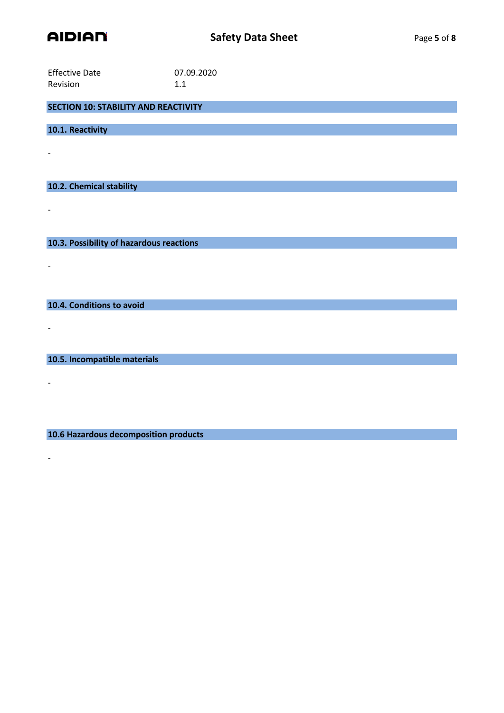

| <b>Effective Date</b> | 07.09.2020 |
|-----------------------|------------|
| <b>Revision</b>       | 1.1        |

**SECTION 10: STABILITY AND REACTIVITY**

**10.1. Reactivity**

-

-

-

-

-

-

**10.2. Chemical stability**

**10.3. Possibility of hazardous reactions**

**10.4. Conditions to avoid**

**10.5. Incompatible materials**

**10.6 Hazardous decomposition products**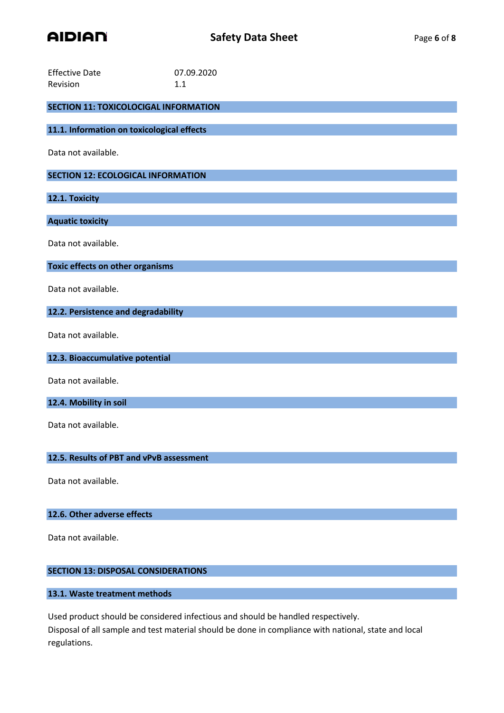

| <b>Effective Date</b><br>Revision            | 07.09.2020<br>1.1 |  |  |
|----------------------------------------------|-------------------|--|--|
|                                              |                   |  |  |
| <b>SECTION 11: TOXICOLOCIGAL INFORMATION</b> |                   |  |  |
| 11.1. Information on toxicological effects   |                   |  |  |
| Data not available.                          |                   |  |  |
| <b>SECTION 12: ECOLOGICAL INFORMATION</b>    |                   |  |  |
| 12.1. Toxicity                               |                   |  |  |
| <b>Aquatic toxicity</b>                      |                   |  |  |
| Data not available.                          |                   |  |  |
| Toxic effects on other organisms             |                   |  |  |
| Data not available.                          |                   |  |  |
| 12.2. Persistence and degradability          |                   |  |  |
| Data not available.                          |                   |  |  |
| 12.3. Bioaccumulative potential              |                   |  |  |
| Data not available.                          |                   |  |  |
| 12.4. Mobility in soil                       |                   |  |  |
| Data not available.                          |                   |  |  |
| 12.5. Results of PBT and vPvB assessment     |                   |  |  |
| Data not available.                          |                   |  |  |
| 12.6. Other adverse effects                  |                   |  |  |

Data not available.

# **SECTION 13: DISPOSAL CONSIDERATIONS**

# **13.1. Waste treatment methods**

Used product should be considered infectious and should be handled respectively. Disposal of all sample and test material should be done in compliance with national, state and local

regulations.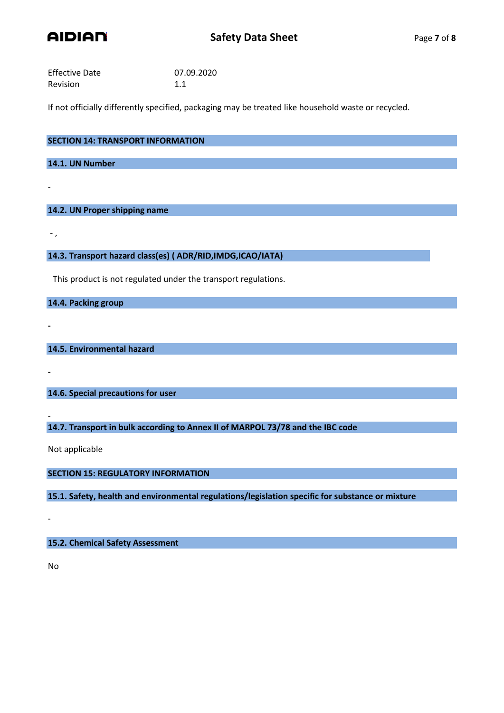

| <b>Effective Date</b> | 07.09.2020 |
|-----------------------|------------|
| Revision              | 1.1        |

If not officially differently specified, packaging may be treated like household waste or recycled.

| <b>SECTION 14: TRANSPORT INFORMATION</b> |  |
|------------------------------------------|--|
| 14.1. UN Number                          |  |
|                                          |  |
|                                          |  |

# **14.2. UN Proper shipping name**

- ,

**-**

**-**

-

**14.3. Transport hazard class(es) ( ADR/RID,IMDG,ICAO/IATA)**

This product is not regulated under the transport regulations.

**14.4. Packing group**

**14.5. Environmental hazard**

**14.6. Special precautions for user**

**14.7. Transport in bulk according to Annex II of MARPOL 73/78 and the IBC code**

Not applicable

**SECTION 15: REGULATORY INFORMATION**

**15.1. Safety, health and environmental regulations/legislation specific for substance or mixture**

**15.2. Chemical Safety Assessment**

No

-